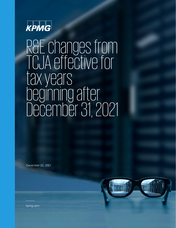

R&E changes from TCJA effective for tax years beginning after December 31, 2021

December 22, 2021



kpmg.com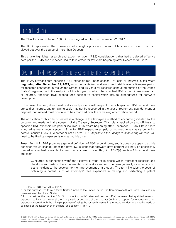## Introduction

The "Tax Cuts and Jobs Act" (TCJA)<sup>[1](#page-1-0)</sup> was signed into law on December 22, 2017.

The TCJA represented the culmination of a lengthy process in pursuit of business tax reform that had played out over the course of more than 20 years.

This article highlights research and experimentation (R&E) considerations that had a delayed effective date per the TCJA and are scheduled to take effect for tax years beginning after December 31, 2021.

## Section 174 research and experimental expenditures

The TCJA provides that specified R&E expenditures under section 174 paid or incurred in tax years **beginning after December 31, 2021,** must be capitalized and amortized ratably over a five-year period for research conducted in the United States, and 15 years for research conducted outside of the United States<sup>[2](#page-1-1)</sup> beginning with the midpoint of the tax year in which the specified R&E expenditures were paid or incurred. Specified R&E expenditures subject to capitalization include expenditures for software development.

In the case of retired, abandoned or disposed property with respect to which specified R&E expenditures are paid or incurred, any remaining basis may not be recovered in the year of retirement, abandonment or disposal, but instead must continue to be amortized over the remaining amortization period.

The application of this rule is treated as a change in the taxpayer's method of accounting initiated by the taxpayer and made with the consent of the Treasury Secretary. This rule is applied on a cutoff basis to specified R&E expenditures paid or incurred in tax years beginning after December 31, 2021 (thus there is no adjustment under section 481(a) for R&E expenditures paid or incurred in tax years beginning before January 1, 2022). Whether or not a Form 3115, Application for Change in Accounting Method, will need to be filed by taxpayers is unclear at this time.

Treas. Reg. § 1.174-2 provides a general definition of R&E expenditures, and it does not appear that this definition would change under the new law, except that software development will now be specifically treated as specified research. As described in current Treas. Reg. § 1.174-2(a), section 174 expenditures are costs:

 $\ldots$ incurred in connection with<sup>[3](#page-1-2)</sup> the taxpayer's trade or business which represent research and development costs in the experimental or laboratory sense. The term generally includes all such costs incident to the development or improvement of a product. The term includes the costs of obtaining a patent, such as attorneys' fees expended in making and perfecting a patent

© 2021 KPMG LLP, a Delaware limited liability partnership and a member firm of the KPMG global organization of independent member firms affiliated with KPMG International Limited, a private English company limited by guarantee. All rights reserved. The KPMG name and logo are trademarks used under license by the independent member firms of the KPMG global organization.

<span id="page-1-0"></span><sup>1</sup> P.L. 115-97, 131 Stat. 2054 (2017).

<span id="page-1-1"></span><sup>2</sup> For this purpose, the term "United States" includes the United States, the Commonwealth of Puerto Rico, and any possession of the United States.

<span id="page-1-2"></span><sup>3</sup> In contrast to the section 174 "in connection with" standard, section 41(a) requires that qualified research expenses be incurred "in carrying on" any trade or business of the taxpayer (with an exception for in-house research expenses incurred with the principal purpose of using the research results in the future conduct of an active trade or business of the taxpayer or an affiliate, see section 41(b)(4)).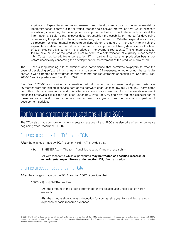application. Expenditures represent research and development costs in the experimental or laboratory sense if they are for activities intended to discover information that would eliminate uncertainty concerning the development or improvement of a product. Uncertainty exists if the information available to the taxpayer does not establish the capability or method for developing or improving the product or the appropriate design of the product. Whether expenditures qualify as research or experimental expenditures depends on the nature of the activity to which the expenditures relate, not the nature of the product or improvement being developed or the level of technological advancement the product or improvement represents. The ultimate success, failure, sale, or use of the product is not relevant to a determination of eligibility under section 174. Costs may be eligible under section 174 if paid or incurred after production begins but before uncertainty concerning the development or improvement of the product is eliminated.

The IRS had a long-standing rule of administrative convenience that permitted taxpayers to treat the costs of developing software in a manner similar to section 174 expenses, whether or not the particular software was patented or copyrighted or otherwise met the requirements of section 174. See Rev. Proc. 2000-50 and its predecessor Rev. Proc. 69-21.

Rev. Proc. 2020-50 also provided an alternative method of amortizing software development costs over 36-months from the placed in-service date of the software under section 167(f)(1). The TCJA terminates both this rule of convenience and this alternative amortization method for software development expenses otherwise eligible for deduction under Rev. Proc. 2000-50 and now requires capitalization of these software development expenses over at least five years from the date of completion of development activities.

## Conforming amendment to sections 41 and 280C

The TCJA also made conforming amendments to sections 41 and 280C that also take effect for tax years beginning after December 31, 2021.

### Changes to sections 41(d)(1)(A) by the TCJA

**After** the changes made by TCJA, section 41(d)(1)(A) provides that:

41(d)(1) IN GENERAL. — The term "qualified research" means research—

(A) with respect to which expenditures **may be treated as specified research or experimental expenditures under section 174**, [Emphasis added]

#### Changes to section 280C(c) by the TCJA

**After** the changes made by the TCJA, section 280C(c) provides that:

280C(c)(1) IN GENERAL.— If—

(A) the amount of the credit determined for the taxable year under section  $41(a)(1)$ , exceeds

(B) the amount allowable as a deduction for such taxable year for qualified research expenses or basic research expenses,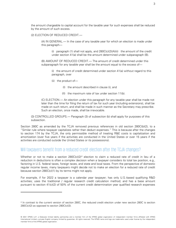the amount chargeable to capital account for the taxable year for such expenses shall be reduced by the amount of such excess.

(2) ELECTION OF REDUCED CREDIT.—

(A) IN GENERAL.— In the case of any taxable year for which an election is made under this paragraph—

(i) paragraph (1) shall not apply, and  $280C(c)(2)(A)(ii)$  the amount of the credit under section 41(a) shall be the amount determined under subparagraph (B).

(B) AMOUNT OF REDUCED CREDIT.— The amount of credit determined under this subparagraph for any taxable year shall be the amount equal to the excess of—

(i) the amount of credit determined under section 41(a) without regard to this paragraph, over

- (ii) the product of—
	- (I) the amount described in clause (i), and
	- (II) the maximum rate of tax under section 11(b).

(C) ELECTION.— An election under this paragraph for any taxable year shall be made not later than the time for filing the return of tax for such year (including extensions), shall be made on such return, and shall be made in such manner as the Secretary may prescribe. Such an election, once made, shall be irrevocable.

(3) CONTROLLED GROUPS.— Paragraph (3) of subsection (b) shall apply for purposes of this subsection.

Section 280C as amended by the TCJA removed previous references in old section 280C(b)(2), to a "Similar rule where taxpayer capitalizes rather than deduct expenses." This is because after the changes to section 174 by the TCJA, the only permissible method of treating R&E costs is capitalization and amortization (over five years if the activities are conducted in the United States or over 15 years if the activities are conducted outside the United States or its possessions).

#### Will taxpayers benefit from a reduced credit election after the TCJA changes?

Whether or not to make a section  $280C(c)(2)^4$  $280C(c)(2)^4$  election to claim a reduced rate of credit in lieu of a reduction in deductions is often a complex decision when a taxpayer considers its total tax position, e.g., factoring in U.S. federal taxes, foreign taxes, and state and local taxes. From the perspective of domestic regular income taxes, many taxpayers might decide not to make an election for a reduced rate of credit because section 280C(c)(1) by its terms might not apply.

For example, if for 2022 a taxpayer is a calendar year taxpayer; has only U.S.-based qualifying R&D activities; uses the traditional / regular research credit calculation method; and has a base amount pursuant to section 41(c)(2) of 50% of the current credit determination year qualified research expenses

<span id="page-3-0"></span><sup>4</sup> In contrast to the current version of section 280C, the reduced credit election under new section 280C is section 280C(c)(2) as opposed to section 280C(c)(3).

<sup>© 2021</sup> KPMG LLP, a Delaware limited liability partnership and a member firm of the KPMG global organization of independent member firms affiliated with KPMG International Limited, a private English company limited by guarantee. All rights reserved. The KPMG name and logo are trademarks used under license by the independent member firms of the KPMG global organization.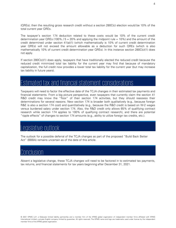(QREs); then the resulting gross research credit without a section 280C(c) election would be 10% of the total current year QREs.

The taxpayer's section 174 deduction related to these costs would be 10% of the current credit determination year QREs (100% /  $5 = 20%$  and applying the midpoint rule = 10%) and the amount of the credit determined under section 41(a)(1) (which mathematically is 10% of current credit determination year QREs) will not exceed the amount allowable as a deduction for such QREs (which is also mathematically 10% of current credit determination year QREs). In this instance section 280C(c)(1) does not apply.

If section 280C(c)(1) does apply, taxpayers that have traditionally elected the reduced credit because the reduced credit minimized total tax liability for the current year may find that because of mandatory capitalization, the full credit now provides a lower total tax liability for the current year (but may increase tax liability in future years).

# Estimated tax and financial statement considerations

Taxpayers will need to factor the effective date of the TCJA changes in their estimated tax payments and financial statements. From a big picture perspective, even taxpayers that currently claim the section 41 R&D credit may know the "floor" of their section 174 activities, but they should reassess their determinations for several reasons. New section 174 is broader both qualitatively (e.g., because foreign R&E is also a section 174 cost) and quantitatively (e.g., because the R&D credit is based on W-2 wages versus burdened salary under section 174. Also, the R&D credit only allows 65% of qualifying contract research while section 174 applies to 100% of qualifying contract research), and there are potential "ripple effects" of changes to section 174 amounts (e.g., ability to utilize foreign tax credits, etc.).

## Legislative outlook

The outlook for a possible deferral of the TCJA changes as part of the proposed "Build Back Better Act" (BBBA) remains uncertain as of the date of this article.

### Conclusion

Absent a legislative change, these TCJA changes will need to be factored in to estimated tax payments, tax returns, and financial statements for tax years beginning after December 31, 2021.